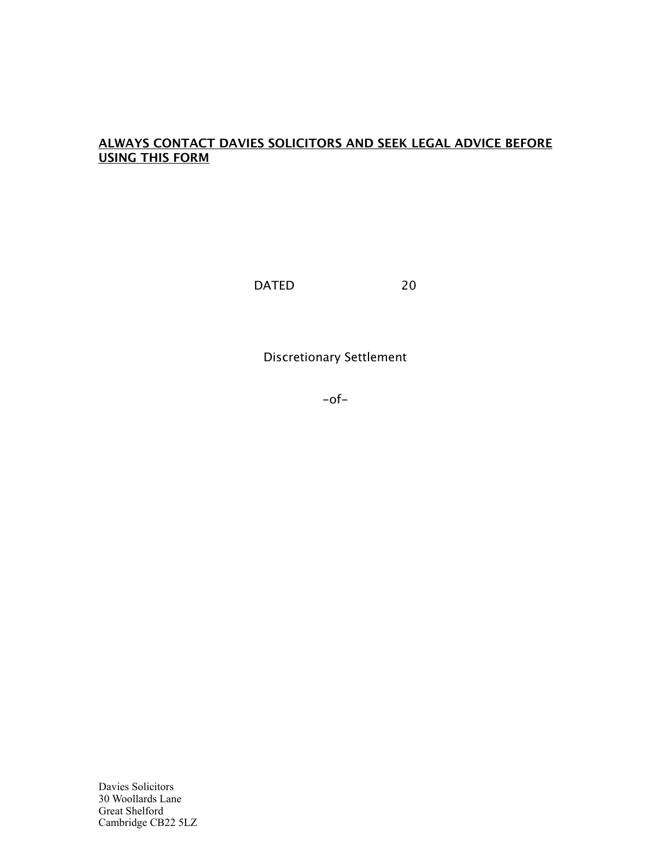## **ALWAYS CONTACT DAVIES SOLICITORS AND SEEK LEGAL ADVICE BEFORE USING THIS FORM**

DATED 20

Discretionary Settlement

 $-$ of $-$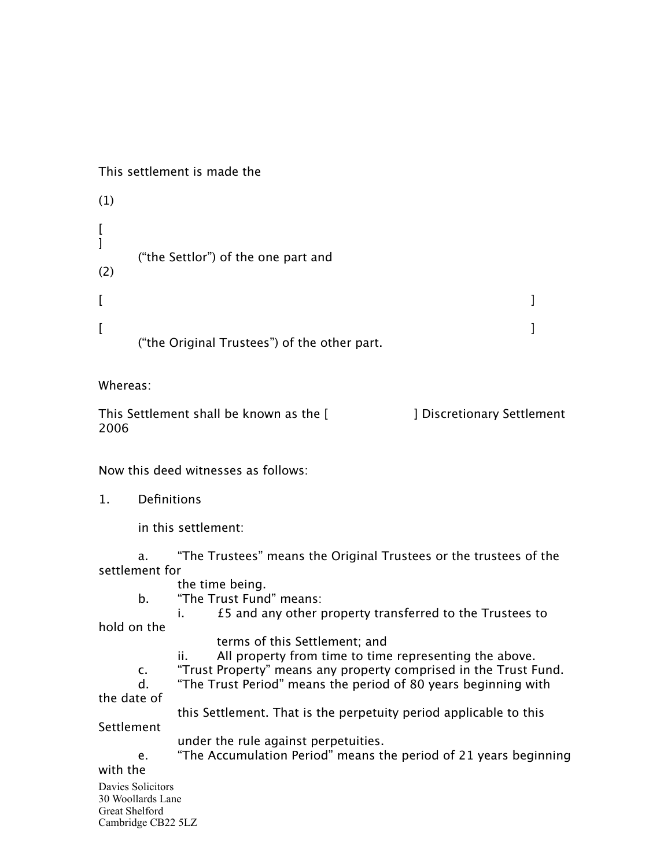This settlement is made the

```
(1)
\Gamma]
        ("the Settlor") of the one part and
(2)
[[ , and the contract of the contract of the contract of the contract of the contract of the contract of the contract of the contract of the contract of the contract of the contract of the contract of the contract of the
        ("the Original Trustees") of the other part.
```
Whereas:

This Settlement shall be known as the [ J Discretionary Settlement 2006

Now this deed witnesses as follows:

1. Definitions

in this settlement:

a. "The Trustees" means the Original Trustees or the trustees of the settlement for

- the time being.
- b. "The Trust Fund" means:

i. £5 and any other property transferred to the Trustees to

hold on the

- terms of this Settlement; and
- ii. All property from time to time representing the above.
- c. "Trust Property" means any property comprised in the Trust Fund.
- d. "The Trust Period" means the period of 80 years beginning with

the date of

this Settlement. That is the perpetuity period applicable to this

Settlement

- under the rule against perpetuities.
- e. "The Accumulation Period" means the period of 21 years beginning

## with the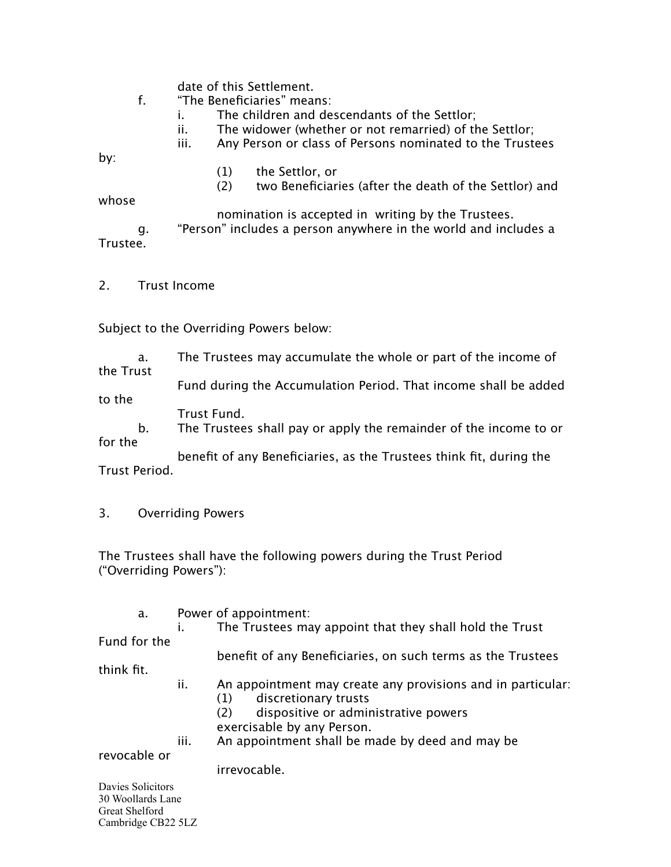date of this Settlement.

- f. "The Beneficiaries" means:
	- i. The children and descendants of the Settlor;
	- ii. The widower (whether or not remarried) of the Settlor;
	- iii. Any Person or class of Persons nominated to the Trustees

by:

- (1) the Settlor, or
- (2) two Beneficiaries (after the death of the Settlor) and

whose

 nomination is accepted in writing by the Trustees.

g. "Person" includes a person anywhere in the world and includes a Trustee.

2. Trust Income

Subject to the Overriding Powers below:

a. The Trustees may accumulate the whole or part of the income of

the Trust Fund during the Accumulation Period. That income shall be added to the

Trust Fund.

b. The Trustees shall pay or apply the remainder of the income to or for the

 benefit of any Beneficiaries, as the Trustees think fit, during the Trust Period.

3. Overriding Powers

The Trustees shall have the following powers during the Trust Period ("Overriding Powers"):

a. Power of appointment:

 i. The Trustees may appoint that they shall hold the Trust Fund for the

 benefit of any Beneficiaries, on such terms as the Trustees

think fit.

- ii. An appointment may create any provisions and in particular:
	- (1) discretionary trusts
	- (2) dispositive or administrative powers exercisable by any Person.
- iii. An appointment shall be made by deed and may be

revocable or

irrevocable.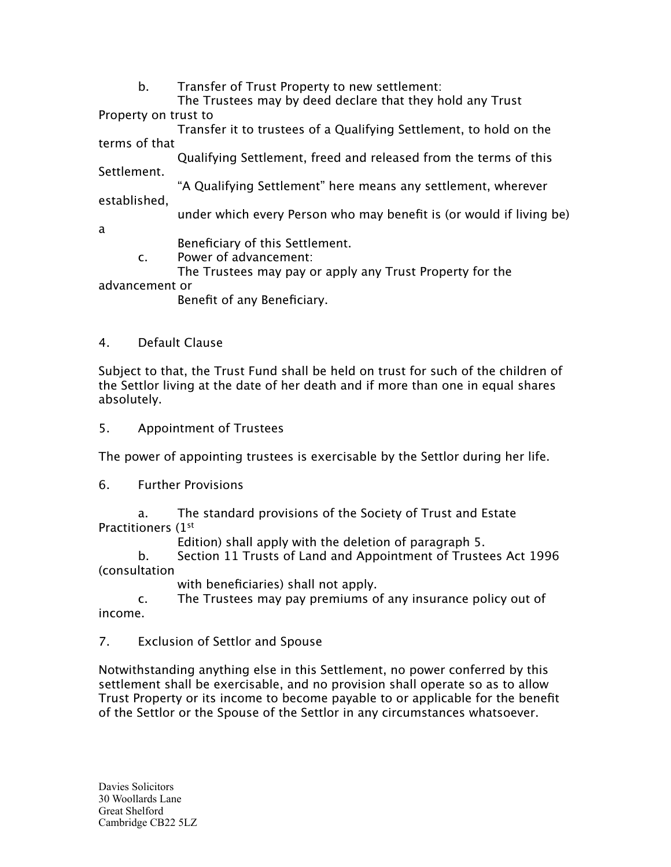b. Transfer of Trust Property to new settlement:

 The Trustees may by deed declare that they hold any Trust Property on trust to

 Transfer it to trustees of a Qualifying Settlement, to hold on the terms of that

 Qualifying Settlement, freed and released from the terms of this Settlement.

 "A Qualifying Settlement" here means any settlement, wherever established,

under which every Person who may benefit is (or would if living be)

a

Beneficiary of this Settlement.

c. Power of advancement:

The Trustees may pay or apply any Trust Property for the

advancement or

Benefit of any Beneficiary.

## 4. Default Clause

Subject to that, the Trust Fund shall be held on trust for such of the children of the Settlor living at the date of her death and if more than one in equal shares absolutely.

5. Appointment of Trustees

The power of appointing trustees is exercisable by the Settlor during her life.

6. Further Provisions

a. The standard provisions of the Society of Trust and Estate Practitioners (1st

Edition) shall apply with the deletion of paragraph 5.

b. Section 11 Trusts of Land and Appointment of Trustees Act 1996 (consultation

with beneficiaries) shall not apply.

c. The Trustees may pay premiums of any insurance policy out of income.

7. Exclusion of Settlor and Spouse

Notwithstanding anything else in this Settlement, no power conferred by this settlement shall be exercisable, and no provision shall operate so as to allow Trust Property or its income to become payable to or applicable for the benefit of the Settlor or the Spouse of the Settlor in any circumstances whatsoever.